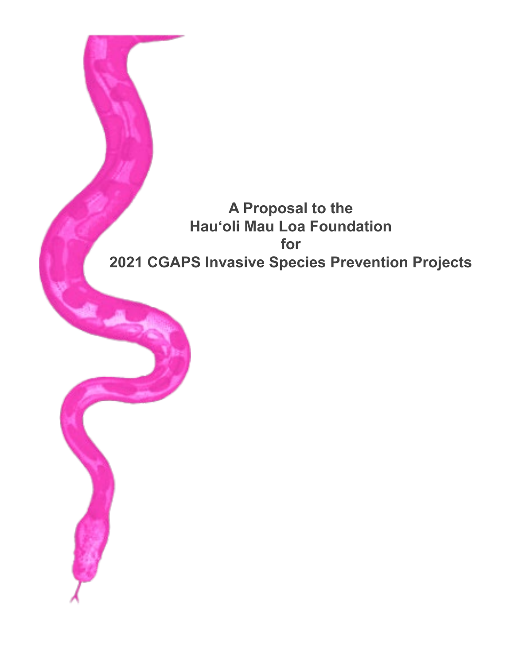# **A Proposal to the Hauʻoli Mau Loa Foundation for 2021 CGAPS Invasive Species Prevention Projects**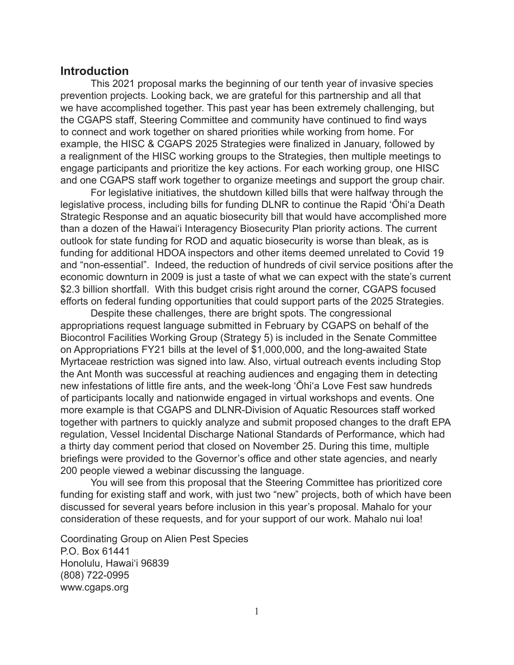# **Introduction**

This 2021 proposal marks the beginning of our tenth year of invasive species prevention projects. Looking back, we are grateful for this partnership and all that we have accomplished together. This past year has been extremely challenging, but the CGAPS staff, Steering Committee and community have continued to find ways to connect and work together on shared priorities while working from home. For example, the HISC & CGAPS 2025 Strategies were finalized in January, followed by a realignment of the HISC working groups to the Strategies, then multiple meetings to engage participants and prioritize the key actions. For each working group, one HISC and one CGAPS staff work together to organize meetings and support the group chair.

For legislative initiatives, the shutdown killed bills that were halfway through the legislative process, including bills for funding DLNR to continue the Rapid ʻŌhiʻa Death Strategic Response and an aquatic biosecurity bill that would have accomplished more than a dozen of the Hawai'i Interagency Biosecurity Plan priority actions. The current outlook for state funding for ROD and aquatic biosecurity is worse than bleak, as is funding for additional HDOA inspectors and other items deemed unrelated to Covid 19 and "non-essential". Indeed, the reduction of hundreds of civil service positions after the economic downturn in 2009 is just a taste of what we can expect with the state's current \$2.3 billion shortfall. With this budget crisis right around the corner, CGAPS focused efforts on federal funding opportunities that could support parts of the 2025 Strategies.

Despite these challenges, there are bright spots. The congressional appropriations request language submitted in February by CGAPS on behalf of the Biocontrol Facilities Working Group (Strategy 5) is included in the Senate Committee on Appropriations FY21 bills at the level of \$1,000,000, and the long-awaited State Myrtaceae restriction was signed into law. Also, virtual outreach events including Stop the Ant Month was successful at reaching audiences and engaging them in detecting new infestations of little fire ants, and the week-long ʻŌhiʻa Love Fest saw hundreds of participants locally and nationwide engaged in virtual workshops and events. One more example is that CGAPS and DLNR-Division of Aquatic Resources staff worked together with partners to quickly analyze and submit proposed changes to the draft EPA regulation, Vessel Incidental Discharge National Standards of Performance, which had a thirty day comment period that closed on November 25. During this time, multiple briefings were provided to the Governor's office and other state agencies, and nearly 200 people viewed a webinar discussing the language.

You will see from this proposal that the Steering Committee has prioritized core funding for existing staff and work, with just two "new" projects, both of which have been discussed for several years before inclusion in this year's proposal. Mahalo for your consideration of these requests, and for your support of our work. Mahalo nui loa!

Coordinating Group on Alien Pest Species P.O. Box 61441 Honolulu, Hawai'i 96839 (808) 722-0995 www.cgaps.org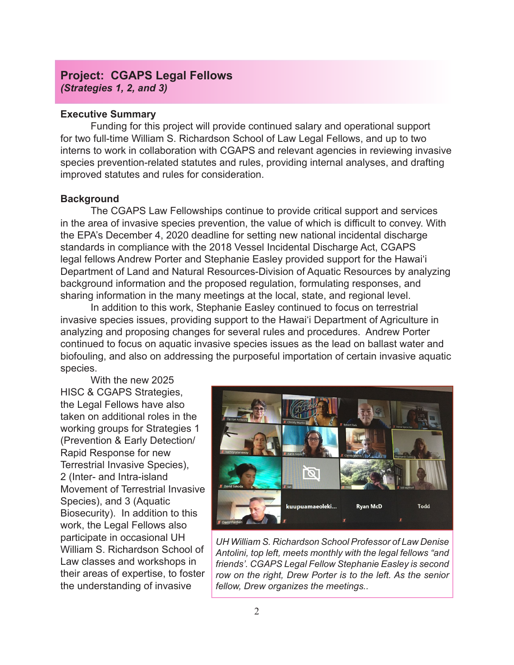# **Project: CGAPS Legal Fellows**  *(Strategies 1, 2, and 3)*

## **Executive Summary**

Funding for this project will provide continued salary and operational support for two full-time William S. Richardson School of Law Legal Fellows, and up to two interns to work in collaboration with CGAPS and relevant agencies in reviewing invasive species prevention-related statutes and rules, providing internal analyses, and drafting improved statutes and rules for consideration.

# **Background**

The CGAPS Law Fellowships continue to provide critical support and services in the area of invasive species prevention, the value of which is difficult to convey. With the EPA's December 4, 2020 deadline for setting new national incidental discharge standards in compliance with the 2018 Vessel Incidental Discharge Act, CGAPS legal fellows Andrew Porter and Stephanie Easley provided support for the Hawai'i Department of Land and Natural Resources-Division of Aquatic Resources by analyzing background information and the proposed regulation, formulating responses, and sharing information in the many meetings at the local, state, and regional level.

In addition to this work, Stephanie Easley continued to focus on terrestrial invasive species issues, providing support to the Hawai'i Department of Agriculture in analyzing and proposing changes for several rules and procedures. Andrew Porter continued to focus on aquatic invasive species issues as the lead on ballast water and biofouling, and also on addressing the purposeful importation of certain invasive aquatic species.

With the new 2025 HISC & CGAPS Strategies, the Legal Fellows have also taken on additional roles in the working groups for Strategies 1 (Prevention & Early Detection/ Rapid Response for new Terrestrial Invasive Species), 2 (Inter- and Intra-island Movement of Terrestrial Invasive Species), and 3 (Aquatic Biosecurity). In addition to this work, the Legal Fellows also participate in occasional UH William S. Richardson School of Law classes and workshops in their areas of expertise, to foster the understanding of invasive



*UH William S. Richardson School Professor of Law Denise Antolini, top left, meets monthly with the legal fellows "and friends'. CGAPS Legal Fellow Stephanie Easley is second row on the right, Drew Porter is to the left. As the senior fellow, Drew organizes the meetings..*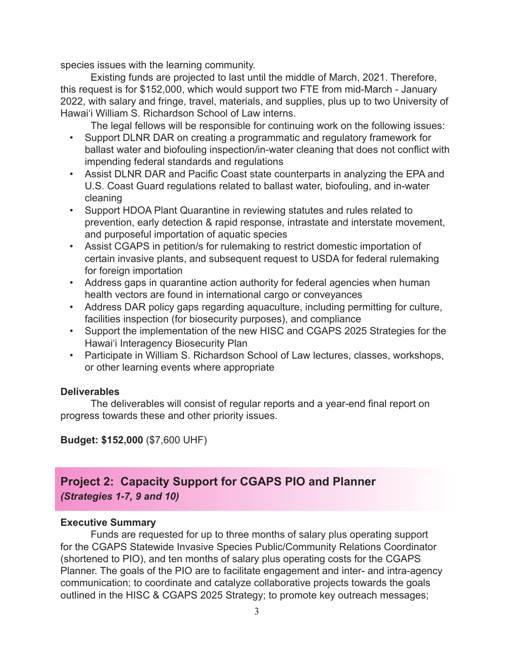species issues with the learning community.

Existing funds are projected to last until the middle of March, 2021. Therefore, this request is for \$152,000, which would support two FTE from mid-March - January 2022, with salary and fringe, travel, materials, and supplies, plus up to two University of Hawaiʻi William S. Richardson School of Law interns.

The legal fellows will be responsible for continuing work on the following issues:

- Support DLNR DAR on creating a programmatic and regulatory framework for ballast water and biofouling inspection/in-water cleaning that does not conflict with impending federal standards and regulations
- Assist DLNR DAR and Pacific Coast state counterparts in analyzing the EPA and U.S. Coast Guard regulations related to ballast water, biofouling, and in-water cleaning
- Support HDOA Plant Quarantine in reviewing statutes and rules related to prevention, early detection & rapid response, intrastate and interstate movement, and purposeful importation of aquatic species
- Assist CGAPS in petition/s for rulemaking to restrict domestic importation of certain invasive plants, and subsequent request to USDA for federal rulemaking for foreign importation
- Address gaps in quarantine action authority for federal agencies when human health vectors are found in international cargo or conveyances
- Address DAR policy gaps regarding aquaculture, including permitting for culture, facilities inspection (for biosecurity purposes), and compliance
- Support the implementation of the new HISC and CGAPS 2025 Strategies for the Hawai'i Interagency Biosecurity Plan
- Participate in William S. Richardson School of Law lectures, classes, workshops, or other learning events where appropriate

# **Deliverables**

The deliverables will consist of regular reports and a year-end final report on progress towards these and other priority issues.

# **Budget: \$152,000** (\$7,600 UHF)

# **Project 2: Capacity Support for CGAPS PIO and Planner** *(Strategies 1-7, 9 and 10)*

# **Executive Summary**

Funds are requested for up to three months of salary plus operating support for the CGAPS Statewide Invasive Species Public/Community Relations Coordinator (shortened to PIO), and ten months of salary plus operating costs for the CGAPS Planner. The goals of the PIO are to facilitate engagement and inter- and intra-agency communication; to coordinate and catalyze collaborative projects towards the goals outlined in the HISC & CGAPS 2025 Strategy; to promote key outreach messages;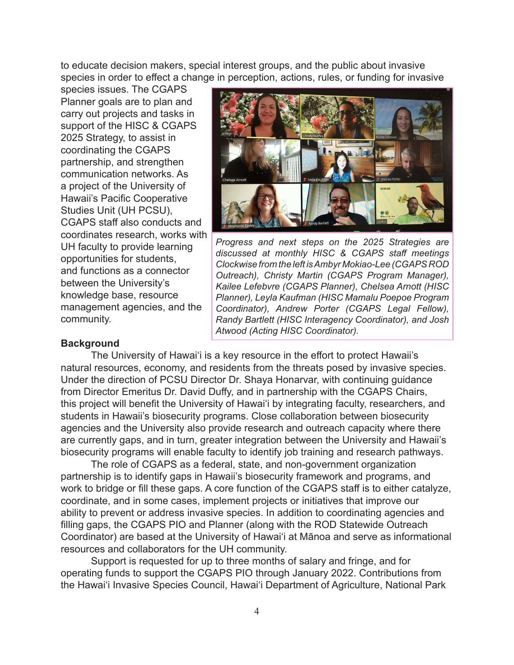to educate decision makers, special interest groups, and the public about invasive species in order to effect a change in perception, actions, rules, or funding for invasive

species issues. The CGAPS Planner goals are to plan and carry out projects and tasks in support of the HISC & CGAPS 2025 Strategy, to assist in coordinating the CGAPS partnership, and strengthen communication networks. As a project of the University of Hawaii's Pacific Cooperative Studies Unit (UH PCSU), CGAPS staff also conducts and coordinates research, works with UH faculty to provide learning opportunities for students, and functions as a connector between the University's knowledge base, resource management agencies, and the community.



*Progress and next steps on the 2025 Strategies are discussed at monthly HISC & CGAPS staff meetings Clockwise from the left is Ambyr Mokiao-Lee (CGAPS ROD Outreach), Christy Martin (CGAPS Program Manager), Kailee Lefebvre (CGAPS Planner), Chelsea Arnott (HISC Planner), Leyla Kaufman (HISC Mamalu Poepoe Program Coordinator), Andrew Porter (CGAPS Legal Fellow), Randy Bartlett (HISC Interagency Coordinator), and Josh Atwood (Acting HISC Coordinator).* 

# **Background**

The University of Hawaiʻi is a key resource in the effort to protect Hawaii's natural resources, economy, and residents from the threats posed by invasive species. Under the direction of PCSU Director Dr. Shaya Honarvar, with continuing guidance from Director Emeritus Dr. David Duffy, and in partnership with the CGAPS Chairs, this project will benefit the University of Hawaiʻi by integrating faculty, researchers, and students in Hawaii's biosecurity programs. Close collaboration between biosecurity agencies and the University also provide research and outreach capacity where there are currently gaps, and in turn, greater integration between the University and Hawaii's biosecurity programs will enable faculty to identify job training and research pathways.

The role of CGAPS as a federal, state, and non-government organization partnership is to identify gaps in Hawaii's biosecurity framework and programs, and work to bridge or fill these gaps. A core function of the CGAPS staff is to either catalyze, coordinate, and in some cases, implement projects or initiatives that improve our ability to prevent or address invasive species. In addition to coordinating agencies and filling gaps, the CGAPS PIO and Planner (along with the ROD Statewide Outreach Coordinator) are based at the University of Hawai'i at Mānoa and serve as informational resources and collaborators for the UH community.

Support is requested for up to three months of salary and fringe, and for operating funds to support the CGAPS PIO through January 2022. Contributions from the Hawai'i Invasive Species Council, Hawai'i Department of Agriculture, National Park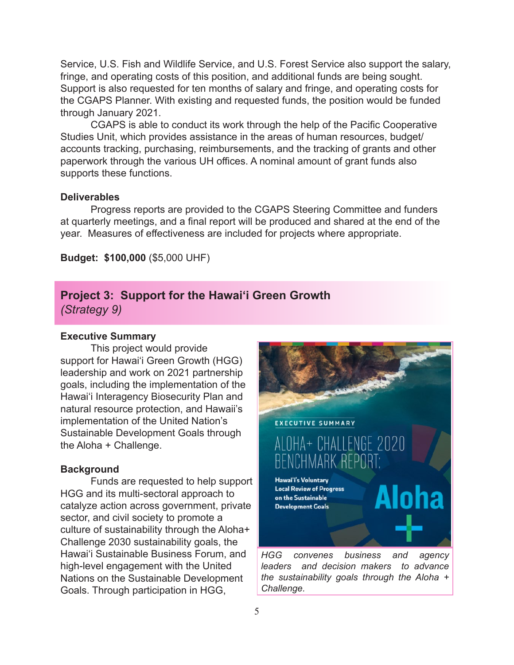Service, U.S. Fish and Wildlife Service, and U.S. Forest Service also support the salary, fringe, and operating costs of this position, and additional funds are being sought. Support is also requested for ten months of salary and fringe, and operating costs for the CGAPS Planner. With existing and requested funds, the position would be funded through January 2021.

CGAPS is able to conduct its work through the help of the Pacific Cooperative Studies Unit, which provides assistance in the areas of human resources, budget/ accounts tracking, purchasing, reimbursements, and the tracking of grants and other paperwork through the various UH offices. A nominal amount of grant funds also supports these functions.

#### **Deliverables**

Progress reports are provided to the CGAPS Steering Committee and funders at quarterly meetings, and a final report will be produced and shared at the end of the year. Measures of effectiveness are included for projects where appropriate.

**Budget: \$100,000** (\$5,000 UHF)

# **Project 3: Support for the Hawai'i Green Growth** *(Strategy 9)*

#### **Executive Summary**

This project would provide support for Hawai'i Green Growth (HGG) leadership and work on 2021 partnership goals, including the implementation of the Hawai'i Interagency Biosecurity Plan and natural resource protection, and Hawaii's implementation of the United Nation's Sustainable Development Goals through the Aloha + Challenge.

#### **Background**

Funds are requested to help support HGG and its multi-sectoral approach to catalyze action across government, private sector, and civil society to promote a culture of sustainability through the Aloha+ Challenge 2030 sustainability goals, the Hawai'i Sustainable Business Forum, and high-level engagement with the United Nations on the Sustainable Development Goals. Through participation in HGG,



*Challenge.*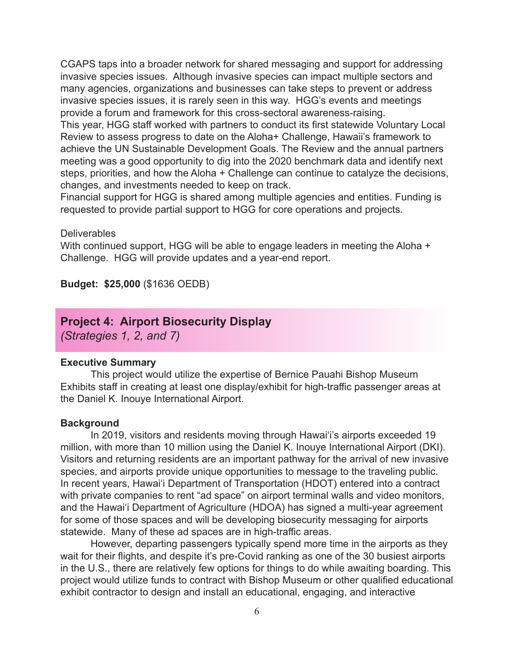CGAPS taps into a broader network for shared messaging and support for addressing invasive species issues. Although invasive species can impact multiple sectors and many agencies, organizations and businesses can take steps to prevent or address invasive species issues, it is rarely seen in this way. HGG's events and meetings provide a forum and framework for this cross-sectoral awareness-raising.

This year, HGG staff worked with partners to conduct its first statewide Voluntary Local Review to assess progress to date on the Aloha+ Challenge, Hawaii's framework to achieve the UN Sustainable Development Goals. The Review and the annual partners meeting was a good opportunity to dig into the 2020 benchmark data and identify next steps, priorities, and how the Aloha + Challenge can continue to catalyze the decisions, changes, and investments needed to keep on track.

Financial support for HGG is shared among multiple agencies and entities. Funding is requested to provide partial support to HGG for core operations and projects.

**Deliverables** 

With continued support, HGG will be able to engage leaders in meeting the Aloha + Challenge. HGG will provide updates and a year-end report.

**Budget: \$25,000** (\$1636 OEDB)

# **Project 4: Airport Biosecurity Display**

*(Strategies 1, 2, and 7)*

#### **Executive Summary**

This project would utilize the expertise of Bernice Pauahi Bishop Museum Exhibits staff in creating at least one display/exhibit for high-traffic passenger areas at the Daniel K. Inouye International Airport.

#### **Background**

In 2019, visitors and residents moving through Hawai'i's airports exceeded 19 million, with more than 10 million using the Daniel K. Inouye International Airport (DKI). Visitors and returning residents are an important pathway for the arrival of new invasive species, and airports provide unique opportunities to message to the traveling public. In recent years, Hawai'i Department of Transportation (HDOT) entered into a contract with private companies to rent "ad space" on airport terminal walls and video monitors, and the Hawai'i Department of Agriculture (HDOA) has signed a multi-year agreement for some of those spaces and will be developing biosecurity messaging for airports statewide. Many of these ad spaces are in high-traffic areas.

However, departing passengers typically spend more time in the airports as they wait for their flights, and despite it's pre-Covid ranking as one of the 30 busiest airports in the U.S., there are relatively few options for things to do while awaiting boarding. This project would utilize funds to contract with Bishop Museum or other qualified educational exhibit contractor to design and install an educational, engaging, and interactive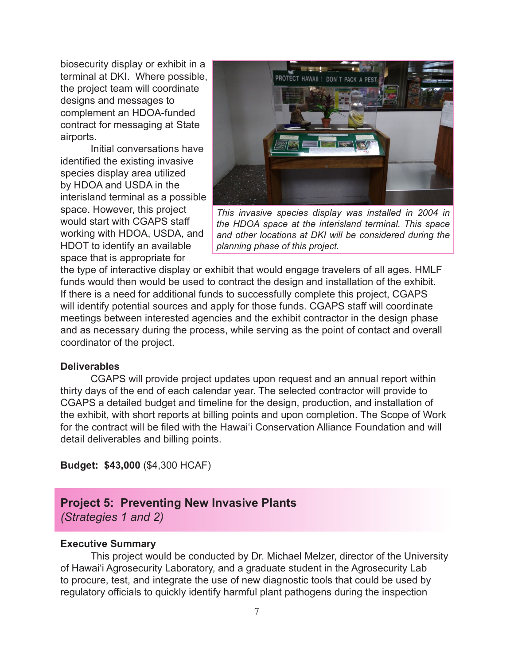biosecurity display or exhibit in a terminal at DKI. Where possible, the project team will coordinate designs and messages to complement an HDOA-funded contract for messaging at State airports.

Initial conversations have identified the existing invasive species display area utilized by HDOA and USDA in the interisland terminal as a possible space. However, this project would start with CGAPS staff working with HDOA, USDA, and HDOT to identify an available space that is appropriate for



*This invasive species display was installed in 2004 in the HDOA space at the interisland terminal. This space and other locations at DKI will be considered during the planning phase of this project.*

the type of interactive display or exhibit that would engage travelers of all ages. HMLF funds would then would be used to contract the design and installation of the exhibit. If there is a need for additional funds to successfully complete this project, CGAPS will identify potential sources and apply for those funds. CGAPS staff will coordinate meetings between interested agencies and the exhibit contractor in the design phase and as necessary during the process, while serving as the point of contact and overall coordinator of the project.

#### **Deliverables**

CGAPS will provide project updates upon request and an annual report within thirty days of the end of each calendar year. The selected contractor will provide to CGAPS a detailed budget and timeline for the design, production, and installation of the exhibit, with short reports at billing points and upon completion. The Scope of Work for the contract will be filed with the Hawai'i Conservation Alliance Foundation and will detail deliverables and billing points.

**Budget: \$43,000** (\$4,300 HCAF)

# **Project 5: Preventing New Invasive Plants**

*(Strategies 1 and 2)*

#### **Executive Summary**

This project would be conducted by Dr. Michael Melzer, director of the University of Hawai'i Agrosecurity Laboratory, and a graduate student in the Agrosecurity Lab to procure, test, and integrate the use of new diagnostic tools that could be used by regulatory officials to quickly identify harmful plant pathogens during the inspection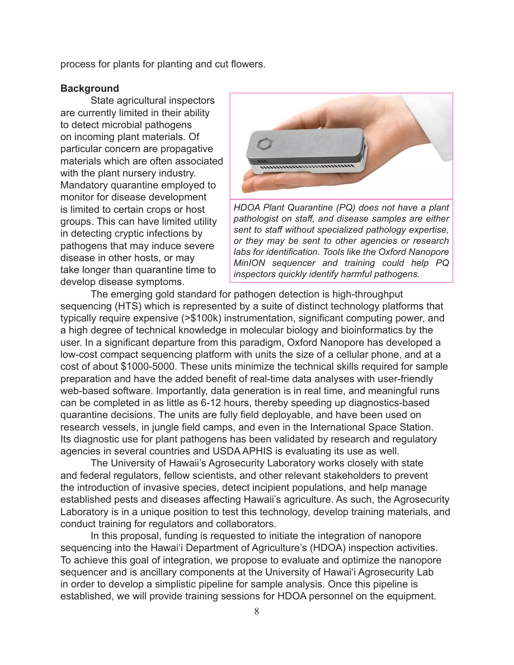process for plants for planting and cut flowers.

#### **Background**

State agricultural inspectors are currently limited in their ability to detect microbial pathogens on incoming plant materials. Of particular concern are propagative materials which are often associated with the plant nursery industry. Mandatory quarantine employed to monitor for disease development is limited to certain crops or host groups. This can have limited utility in detecting cryptic infections by pathogens that may induce severe disease in other hosts, or may take longer than quarantine time to develop disease symptoms.



*HDOA Plant Quarantine (PQ) does not have a plant pathologist on staff, and disease samples are either sent to staff without specialized pathology expertise, or they may be sent to other agencies or research labs for identification. Tools like the Oxford Nanopore MinION sequencer and training could help PQ inspectors quickly identify harmful pathogens.*

The emerging gold standard for pathogen detection is high-throughput sequencing (HTS) which is represented by a suite of distinct technology platforms that typically require expensive (>\$100k) instrumentation, significant computing power, and a high degree of technical knowledge in molecular biology and bioinformatics by the user. In a significant departure from this paradigm, Oxford Nanopore has developed a low-cost compact sequencing platform with units the size of a cellular phone, and at a cost of about \$1000-5000. These units minimize the technical skills required for sample preparation and have the added benefit of real-time data analyses with user-friendly web-based software. Importantly, data generation is in real time, and meaningful runs can be completed in as little as 6-12 hours, thereby speeding up diagnostics-based quarantine decisions. The units are fully field deployable, and have been used on research vessels, in jungle field camps, and even in the International Space Station. Its diagnostic use for plant pathogens has been validated by research and regulatory agencies in several countries and USDA APHIS is evaluating its use as well.

The University of Hawaii's Agrosecurity Laboratory works closely with state and federal regulators, fellow scientists, and other relevant stakeholders to prevent the introduction of invasive species, detect incipient populations, and help manage established pests and diseases affecting Hawaii's agriculture. As such, the Agrosecurity Laboratory is in a unique position to test this technology, develop training materials, and conduct training for regulators and collaborators.

In this proposal, funding is requested to initiate the integration of nanopore sequencing into the Hawai'i Department of Agriculture's (HDOA) inspection activities. To achieve this goal of integration, we propose to evaluate and optimize the nanopore sequencer and is ancillary components at the University of Hawai'i Agrosecurity Lab in order to develop a simplistic pipeline for sample analysis. Once this pipeline is established, we will provide training sessions for HDOA personnel on the equipment.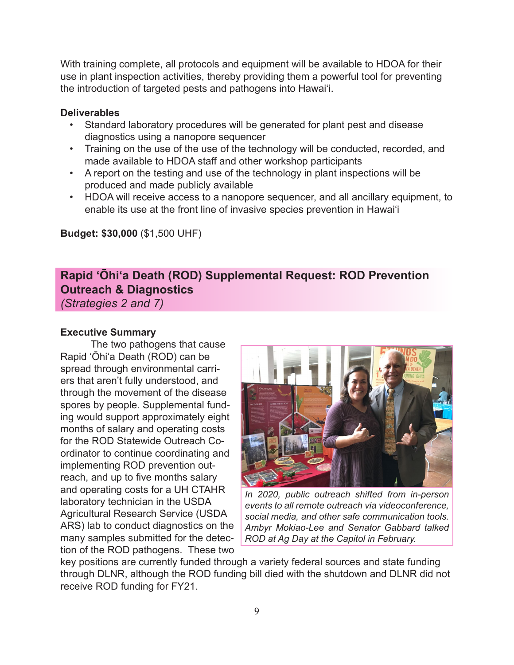With training complete, all protocols and equipment will be available to HDOA for their use in plant inspection activities, thereby providing them a powerful tool for preventing the introduction of targeted pests and pathogens into Hawai'i.

# **Deliverables**

- Standard laboratory procedures will be generated for plant pest and disease diagnostics using a nanopore sequencer
- Training on the use of the use of the technology will be conducted, recorded, and made available to HDOA staff and other workshop participants
- A report on the testing and use of the technology in plant inspections will be produced and made publicly available
- HDOA will receive access to a nanopore sequencer, and all ancillary equipment, to enable its use at the front line of invasive species prevention in Hawai'i

**Budget: \$30,000** (\$1,500 UHF)

# **Rapid ʻŌhiʻa Death (ROD) Supplemental Request: ROD Prevention Outreach & Diagnostics**

*(Strategies 2 and 7)*

# **Executive Summary**

The two pathogens that cause Rapid ʻŌhiʻa Death (ROD) can be spread through environmental carriers that aren't fully understood, and through the movement of the disease spores by people. Supplemental funding would support approximately eight months of salary and operating costs for the ROD Statewide Outreach Coordinator to continue coordinating and implementing ROD prevention outreach, and up to five months salary and operating costs for a UH CTAHR laboratory technician in the USDA Agricultural Research Service (USDA ARS) lab to conduct diagnostics on the many samples submitted for the detection of the ROD pathogens. These two



*In 2020, public outreach shifted from in-person events to all remote outreach via videoconference, social media, and other safe communication tools. Ambyr Mokiao-Lee and Senator Gabbard talked ROD at Ag Day at the Capitol in February.* 

key positions are currently funded through a variety federal sources and state funding through DLNR, although the ROD funding bill died with the shutdown and DLNR did not receive ROD funding for FY21.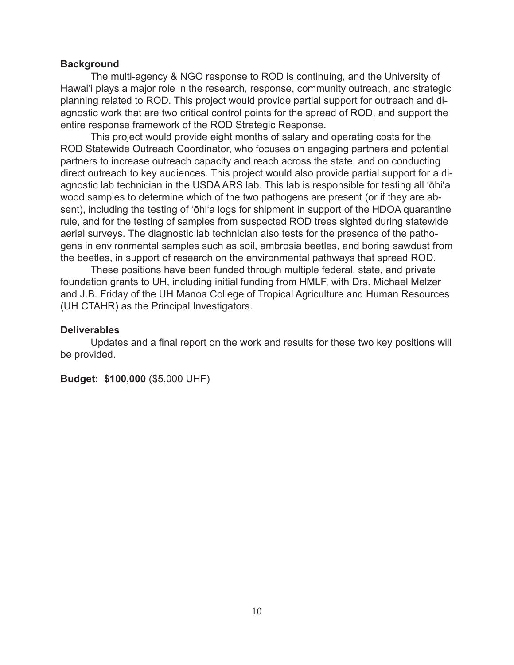## **Background**

The multi-agency & NGO response to ROD is continuing, and the University of Hawai'i plays a major role in the research, response, community outreach, and strategic planning related to ROD. This project would provide partial support for outreach and diagnostic work that are two critical control points for the spread of ROD, and support the entire response framework of the ROD Strategic Response.

This project would provide eight months of salary and operating costs for the ROD Statewide Outreach Coordinator, who focuses on engaging partners and potential partners to increase outreach capacity and reach across the state, and on conducting direct outreach to key audiences. This project would also provide partial support for a diagnostic lab technician in the USDA ARS lab. This lab is responsible for testing all 'ōhi'a wood samples to determine which of the two pathogens are present (or if they are absent), including the testing of 'ōhi'a logs for shipment in support of the HDOA quarantine rule, and for the testing of samples from suspected ROD trees sighted during statewide aerial surveys. The diagnostic lab technician also tests for the presence of the pathogens in environmental samples such as soil, ambrosia beetles, and boring sawdust from the beetles, in support of research on the environmental pathways that spread ROD.

These positions have been funded through multiple federal, state, and private foundation grants to UH, including initial funding from HMLF, with Drs. Michael Melzer and J.B. Friday of the UH Manoa College of Tropical Agriculture and Human Resources (UH CTAHR) as the Principal Investigators.

## **Deliverables**

Updates and a final report on the work and results for these two key positions will be provided.

**Budget: \$100,000** (\$5,000 UHF)